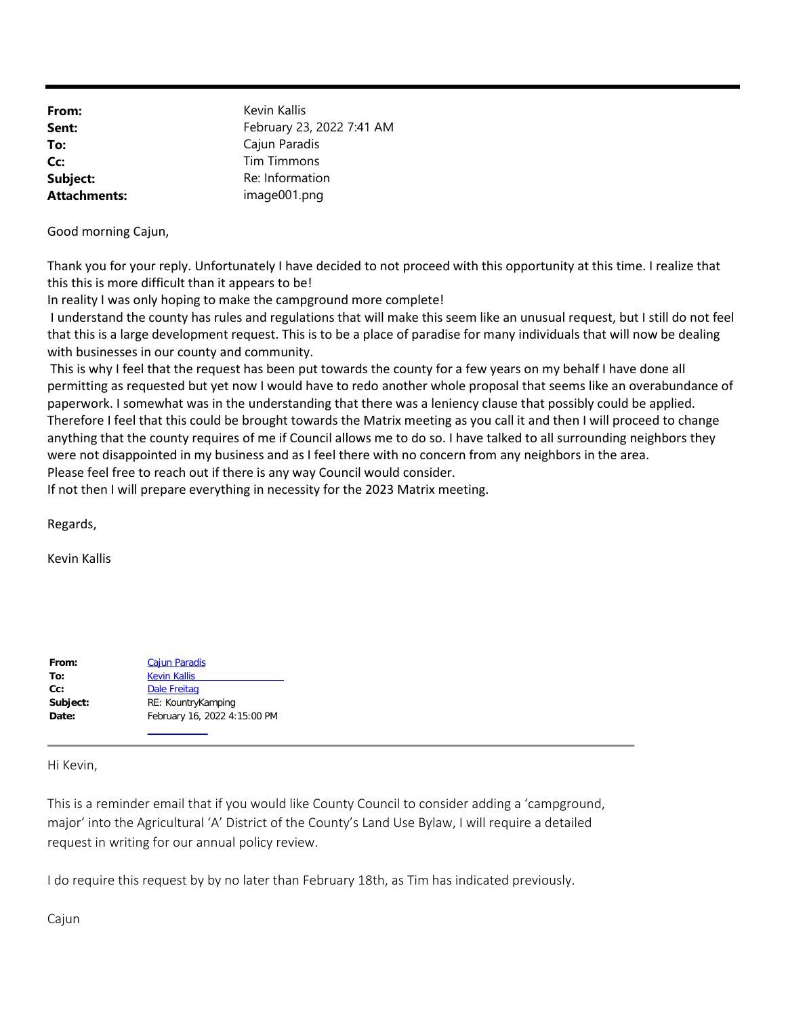| From:               | Kevin Kallis              |
|---------------------|---------------------------|
| Sent:               | February 23, 2022 7:41 AM |
| To:                 | Cajun Paradis             |
| Cc:                 | <b>Tim Timmons</b>        |
| Subject:            | Re: Information           |
| <b>Attachments:</b> | image001.png              |

Good morning Cajun,

Thank you for your reply. Unfortunately I have decided to not proceed with this opportunity at this time. I realize that this this is more difficult than it appears to be!

In reality I was only hoping to make the campground more complete!

I understand the county has rules and regulations that will make this seem like an unusual request, but I still do not feel that this is a large development request. This is to be a place of paradise for many individuals that will now be dealing with businesses in our county and community.

 This is why I feel that the request has been put towards the county for a few years on my behalf I have done all permitting as requested but yet now I would have to redo another whole proposal that seems like an overabundance of paperwork. I somewhat was in the understanding that there was a leniency clause that possibly could be applied. Therefore I feel that this could be brought towards the Matrix meeting as you call it and then I will proceed to change anything that the county requires of me if Council allows me to do so. I have talked to all surrounding neighbors they were not disappointed in my business and as I feel there with no concern from any neighbors in the area. Please feel free to reach out if there is any way Council would consider.

If not then I will prepare everything in necessity for the 2023 Matrix meeting.

Regards,

Kevin Kallis

| From:    | <b>Cajun Paradis</b>         |
|----------|------------------------------|
| To:      | <b>Kevin Kallis</b>          |
| $Cc$ :   | <b>Dale Freitag</b>          |
| Subject: | RE: KountryKamping           |
| Date:    | February 16, 2022 4:15:00 PM |
|          |                              |

Hi Kevin,

This is a reminder email that if you would like County Council to consider adding a 'campground, major' into the Agricultural 'A' District of the County's Land Use Bylaw, I will require a detailed request in writing for our annual policy review.

I do require this request by by no later than February 18th, as Tim has indicated previously.

Cajun